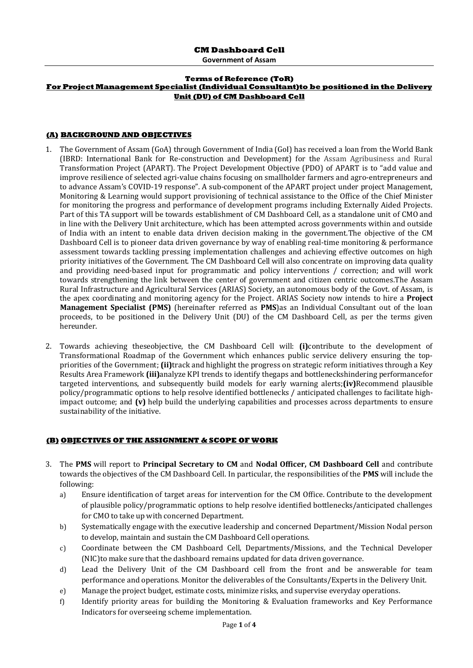**Government of Assam**

#### **Terms of Reference (ToR) For Project Management Specialist (Individual Consultant)to be positioned in the Delivery Unit (DU) of CM Dashboard Cell**

### **(A) BACKGROUND AND OBJECTIVES**

- 1. The Government of Assam (GoA) through Government of India (GoI) has received a loan from the World Bank (IBRD: International Bank for Re-construction and Development) for the Assam Agribusiness and Rural Transformation Project (APART). The Project Development Objective (PDO) of APART is to "add value and improve resilience of selected agri-value chains focusing on smallholder farmers and agro-entrepreneurs and to advance Assam's COVID-19 response". A sub-component of the APART project under project Management, Monitoring & Learning would support provisioning of technical assistance to the Office of the Chief Minister for monitoring the progress and performance of development programs including Externally Aided Projects. Part of this TA support will be towards establishment of CM Dashboard Cell, as a standalone unit of CMO and in line with the Delivery Unit architecture, which has been attempted across governments within and outside of India with an intent to enable data driven decision making in the government.The objective of the CM Dashboard Cell is to pioneer data driven governance by way of enabling real-time monitoring & performance assessment towards tackling pressing implementation challenges and achieving effective outcomes on high priority initiatives of the Government. The CM Dashboard Cell will also concentrate on improving data quality and providing need-based input for programmatic and policy interventions / correction; and will work towards strengthening the link between the center of government and citizen centric outcomes.The Assam Rural Infrastructure and Agricultural Services (ARIAS) Society, an autonomous body of the Govt. of Assam, is the apex coordinating and monitoring agency for the Project. ARIAS Society now intends to hire a **Project Management Specialist (PMS)** (hereinafter referred as **PMS**)as an Individual Consultant out of the loan proceeds, to be positioned in the Delivery Unit (DU) of the CM Dashboard Cell, as per the terms given hereunder.
- 2. Towards achieving theseobjective, the CM Dashboard Cell will: **(i)**contribute to the development of Transformational Roadmap of the Government which enhances public service delivery ensuring the toppriorities of the Government; **(ii)**track and highlight the progress on strategic reform initiatives through a Key Results Area Framework **(iii)**analyze KPI trends to identify thegaps and bottleneckshindering performancefor targeted interventions, and subsequently build models for early warning alerts;**(iv)**Recommend plausible policy/programmatic options to help resolve identified bottlenecks / anticipated challenges to facilitate highimpact outcome; and **(v)** help build the underlying capabilities and processes across departments to ensure sustainability of the initiative.

#### **(B) OBJECTIVES OF THE ASSIGNMENT & SCOPE OF WORK**

- 3. The **PMS** will report to **Principal Secretary to CM** and **Nodal Officer, CM Dashboard Cell** and contribute towards the objectives of the CM Dashboard Cell. In particular, the responsibilities of the **PMS** will include the following:
	- a) Ensure identification of target areas for intervention for the CM Office. Contribute to the development of plausible policy/programmatic options to help resolve identified bottlenecks/anticipated challenges for CMO to take up with concerned Department.
	- b) Systematically engage with the executive leadership and concerned Department/Mission Nodal person to develop, maintain and sustain the CM Dashboard Cell operations.
	- c) Coordinate between the CM Dashboard Cell, Departments/Missions, and the Technical Developer (NIC)to make sure that the dashboard remains updated for data driven governance.
	- d) Lead the Delivery Unit of the CM Dashboard cell from the front and be answerable for team performance and operations. Monitor the deliverables of the Consultants/Experts in the Delivery Unit.
	- e) Manage the project budget, estimate costs, minimize risks, and supervise everyday operations.
	- f) Identify priority areas for building the Monitoring & Evaluation frameworks and Key Performance Indicators for overseeing scheme implementation.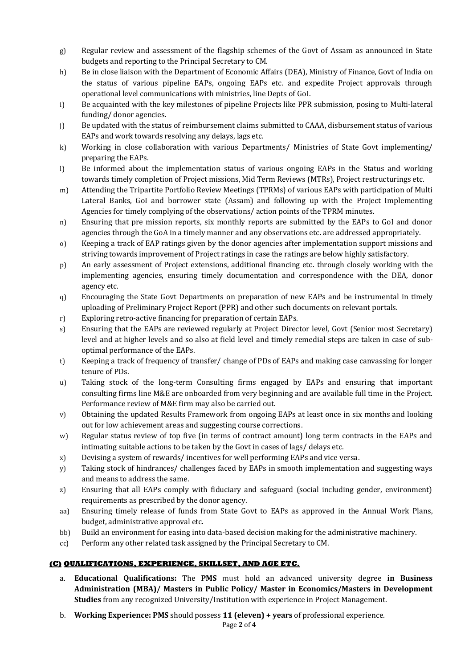- g) Regular review and assessment of the flagship schemes of the Govt of Assam as announced in State budgets and reporting to the Principal Secretary to CM.
- h) Be in close liaison with the Department of Economic Affairs (DEA), Ministry of Finance, Govt of India on the status of various pipeline EAPs, ongoing EAPs etc. and expedite Project approvals through operational level communications with ministries, line Depts of GoI.
- i) Be acquainted with the key milestones of pipeline Projects like PPR submission, posing to Multi-lateral funding/ donor agencies.
- j) Be updated with the status of reimbursement claims submitted to CAAA, disbursement status of various EAPs and work towards resolving any delays, lags etc.
- k) Working in close collaboration with various Departments/ Ministries of State Govt implementing/ preparing the EAPs.
- l) Be informed about the implementation status of various ongoing EAPs in the Status and working towards timely completion of Project missions, Mid Term Reviews (MTRs), Project restructurings etc.
- m) Attending the Tripartite Portfolio Review Meetings (TPRMs) of various EAPs with participation of Multi Lateral Banks, GoI and borrower state (Assam) and following up with the Project Implementing Agencies for timely complying of the observations/ action points of the TPRM minutes.
- n) Ensuring that pre mission reports, six monthly reports are submitted by the EAPs to GoI and donor agencies through the GoA in a timely manner and any observations etc. are addressed appropriately.
- o) Keeping a track of EAP ratings given by the donor agencies after implementation support missions and striving towards improvement of Project ratings in case the ratings are below highly satisfactory.
- p) An early assessment of Project extensions, additional financing etc. through closely working with the implementing agencies, ensuring timely documentation and correspondence with the DEA, donor agency etc.
- q) Encouraging the State Govt Departments on preparation of new EAPs and be instrumental in timely uploading of Preliminary Project Report (PPR) and other such documents on relevant portals.
- r) Exploring retro-active financing for preparation of certain EAPs.
- s) Ensuring that the EAPs are reviewed regularly at Project Director level, Govt (Senior most Secretary) level and at higher levels and so also at field level and timely remedial steps are taken in case of suboptimal performance of the EAPs.
- t) Keeping a track of frequency of transfer/ change of PDs of EAPs and making case canvassing for longer tenure of PDs.
- u) Taking stock of the long-term Consulting firms engaged by EAPs and ensuring that important consulting firms line M&E are onboarded from very beginning and are available full time in the Project. Performance review of M&E firm may also be carried out.
- v) Obtaining the updated Results Framework from ongoing EAPs at least once in six months and looking out for low achievement areas and suggesting course corrections.
- w) Regular status review of top five (in terms of contract amount) long term contracts in the EAPs and intimating suitable actions to be taken by the Govt in cases of lags/ delays etc.
- x) Devising a system of rewards/ incentives for well performing EAPs and vice versa.
- y) Taking stock of hindrances/ challenges faced by EAPs in smooth implementation and suggesting ways and means to address the same.
- z) Ensuring that all EAPs comply with fiduciary and safeguard (social including gender, environment) requirements as prescribed by the donor agency.
- aa) Ensuring timely release of funds from State Govt to EAPs as approved in the Annual Work Plans, budget, administrative approval etc.
- bb) Build an environment for easing into data-based decision making for the administrative machinery.
- cc) Perform any other related task assigned by the Principal Secretary to CM.

## **(C) QUALIFICATIONS, EXPERIENCE, SKILLSET, AND AGE ETC.**

- a. **Educational Qualifications:** The **PMS** must hold an advanced university degree **in Business Administration (MBA)/ Masters in Public Policy/ Master in Economics/Masters in Development Studies** from any recognized University/Institution with experience in Project Management.
- b. **Working Experience: PMS** should possess **11 (eleven) + years** of professional experience.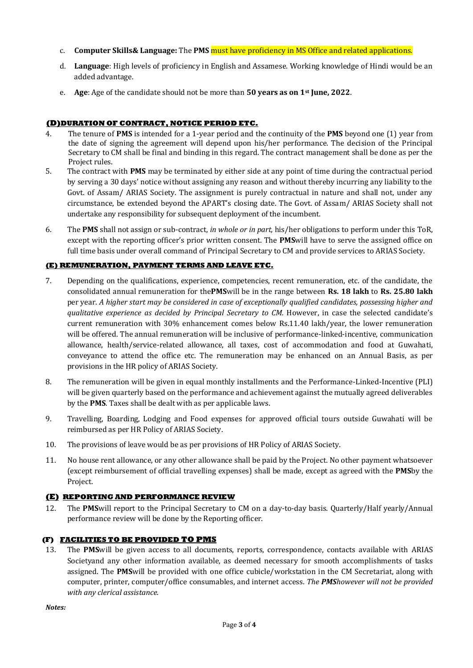- c. **Computer Skills& Language:** The **PMS** must have proficiency in MS Office and related applications.
- d. **Language**: High levels of proficiency in English and Assamese. Working knowledge of Hindi would be an added advantage.
- e. **Age**: Age of the candidate should not be more than **50 years as on 1st June, 2022**.

# **(D)DURATION OF CONTRACT, NOTICE PERIOD ETC.**

- 4. The tenure of **PMS** is intended for a 1-year period and the continuity of the **PMS** beyond one (1) year from the date of signing the agreement will depend upon his/her performance. The decision of the Principal Secretary to CM shall be final and binding in this regard. The contract management shall be done as per the Project rules.
- 5. The contract with **PMS** may be terminated by either side at any point of time during the contractual period by serving a 30 days' notice without assigning any reason and without thereby incurring any liability to the Govt. of Assam/ ARIAS Society. The assignment is purely contractual in nature and shall not, under any circumstance, be extended beyond the APART's closing date. The Govt. of Assam/ ARIAS Society shall not undertake any responsibility for subsequent deployment of the incumbent.
- 6. The **PMS** shall not assign or sub-contract, *in whole or in part,* his/her obligations to perform under this ToR, except with the reporting officer's prior written consent. The **PMS**will have to serve the assigned office on full time basis under overall command of Principal Secretary to CM and provide services to ARIAS Society.

# **(E) REMUNERATION, PAYMENT TERMS AND LEAVE ETC.**

- 7. Depending on the qualifications, experience, competencies, recent remuneration, etc. of the candidate, the consolidated annual remuneration for the**PMS**will be in the range between **Rs. 18 lakh** to **Rs. 25.80 lakh** per year. *A higher start may be considered in case of exceptionally qualified candidates, possessing higher and qualitative experience as decided by Principal Secretary to CM.* However, in case the selected candidate's current remuneration with 30% enhancement comes below Rs.11.40 lakh/year, the lower remuneration will be offered. The annual remuneration will be inclusive of performance-linked-incentive, communication allowance, health/service-related allowance, all taxes, cost of accommodation and food at Guwahati, conveyance to attend the office etc. The remuneration may be enhanced on an Annual Basis, as per provisions in the HR policy of ARIAS Society.
- 8. The remuneration will be given in equal monthly installments and the Performance-Linked-Incentive (PLI) will be given quarterly based on the performance and achievement against the mutually agreed deliverables by the **PMS**. Taxes shall be dealt with as per applicable laws.
- 9. Travelling, Boarding, Lodging and Food expenses for approved official tours outside Guwahati will be reimbursed as per HR Policy of ARIAS Society.
- 10. The provisions of leave would be as per provisions of HR Policy of ARIAS Society.
- 11. No house rent allowance, or any other allowance shall be paid by the Project. No other payment whatsoever (except reimbursement of official travelling expenses) shall be made, except as agreed with the **PMS**by the Project.

## **(E) REPORTING AND PERFORMANCE REVIEW**

12. The **PMS**will report to the Principal Secretary to CM on a day-to-day basis. Quarterly/Half yearly/Annual performance review will be done by the Reporting officer.

## **(F) FACILITIES TO BE PROVIDED TO PMS**

13. The **PMS**will be given access to all documents, reports, correspondence, contacts available with ARIAS Societyand any other information available, as deemed necessary for smooth accomplishments of tasks assigned. The **PMS**will be provided with one office cubicle/workstation in the CM Secretariat, along with computer, printer, computer/office consumables, and internet access. *The PMShowever will not be provided with any clerical assistance*.